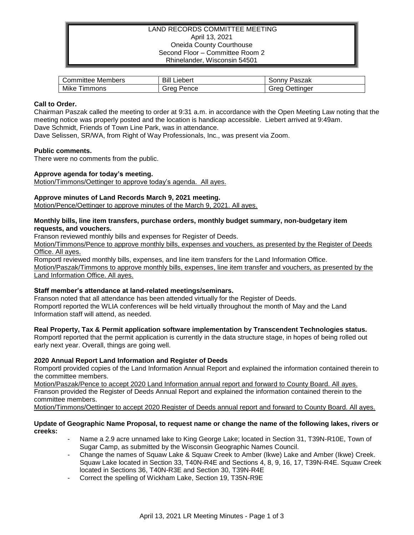## LAND RECORDS COMMITTEE MEETING April 13, 2021 Oneida County Courthouse Second Floor – Committee Room 2 Rhinelander, Wisconsin 54501

| Committee Members      | Bill<br>∟iebert | Paszak<br>.onnvٽ  |
|------------------------|-----------------|-------------------|
| Mike<br>--<br>' immons | Grea<br>Pence   | Jettinaer<br>reoث |

# **Call to Order.**

Chairman Paszak called the meeting to order at 9:31 a.m. in accordance with the Open Meeting Law noting that the meeting notice was properly posted and the location is handicap accessible. Liebert arrived at 9:49am. Dave Schmidt, Friends of Town Line Park, was in attendance.

Dave Selissen, SR/WA, from Right of Way Professionals, Inc., was present via Zoom.

### **Public comments.**

There were no comments from the public.

# **Approve agenda for today's meeting.**

Motion/Timmons/Oettinger to approve today's agenda. All ayes.

# **Approve minutes of Land Records March 9, 2021 meeting.**

Motion/Pence/Oettinger to approve minutes of the March 9, 2021. All ayes.

## **Monthly bills, line item transfers, purchase orders, monthly budget summary, non-budgetary item requests, and vouchers.**

Franson reviewed monthly bills and expenses for Register of Deeds.

Motion/Timmons/Pence to approve monthly bills, expenses and vouchers, as presented by the Register of Deeds Office. All ayes.

Romportl reviewed monthly bills, expenses, and line item transfers for the Land Information Office. Motion/Paszak/Timmons to approve monthly bills, expenses, line item transfer and vouchers, as presented by the

Land Information Office. All ayes.

### **Staff member's attendance at land-related meetings/seminars.**

Franson noted that all attendance has been attended virtually for the Register of Deeds. Romportl reported the WLIA conferences will be held virtually throughout the month of May and the Land Information staff will attend, as needed.

# **Real Property, Tax & Permit application software implementation by Transcendent Technologies status.**

Romportl reported that the permit application is currently in the data structure stage, in hopes of being rolled out early next year. Overall, things are going well.

# **2020 Annual Report Land Information and Register of Deeds**

Romportl provided copies of the Land Information Annual Report and explained the information contained therein to the committee members.

Motion/Paszak/Pence to accept 2020 Land Information annual report and forward to County Board. All ayes. Franson provided the Register of Deeds Annual Report and explained the information contained therein to the committee members.

Motion/Timmons/Oettinger to accept 2020 Register of Deeds annual report and forward to County Board. All ayes.

### **Update of Geographic Name Proposal, to request name or change the name of the following lakes, rivers or creeks:**

- Name a 2.9 acre unnamed lake to King George Lake; located in Section 31, T39N-R10E, Town of Sugar Camp, as submitted by the Wisconsin Geographic Names Council.
- Change the names of Squaw Lake & Squaw Creek to Amber (Ikwe) Lake and Amber (Ikwe) Creek. Squaw Lake located in Section 33, T40N-R4E and Sections 4, 8, 9, 16, 17, T39N-R4E. Squaw Creek located in Sections 36, T40N-R3E and Section 30, T39N-R4E
- Correct the spelling of Wickham Lake, Section 19, T35N-R9E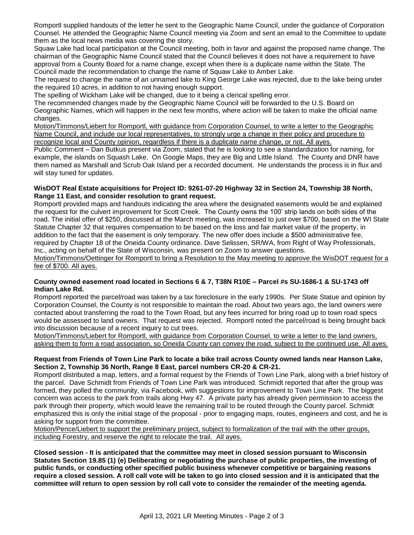Romportl supplied handouts of the letter he sent to the Geographic Name Council, under the guidance of Corporation Counsel. He attended the Geographic Name Council meeting via Zoom and sent an email to the Committee to update them as the local news media was covering the story.

Squaw Lake had local participation at the Council meeting, both in favor and against the proposed name change. The chairman of the Geographic Name Council stated that the Council believes it does not have a requirement to have approval from a County Board for a name change, except when there is a duplicate name within the State. The Council made the recommendation to change the name of Squaw Lake to Amber Lake.

The request to change the name of an unnamed lake to King George Lake was rejected, due to the lake being under the required 10 acres, in addition to not having enough support.

The spelling of Wickham Lake will be changed, due to it being a clerical spelling error.

The recommended changes made by the Geographic Name Council will be forwarded to the U.S. Board on Geographic Names, which will happen in the next few months, where action will be taken to make the official name changes.

Motion/Timmons/Liebert for Romportl, with guidance from Corporation Counsel, to write a letter to the Geographic Name Council, and include our local representatives, to strongly urge a change in their policy and procedure to recognize local and County opinion, regardless if there is a duplicate name change, or not. All ayes.

Public Comment – Dan Butkus present via Zoom, stated that he is looking to see a standardization for naming, for example, the islands on Squash Lake. On Google Maps, they are Big and Little Island. The County and DNR have them named as Marshall and Scrub Oak Island per a recorded document. He understands the process is in flux and will stay tuned for updates.

## **WisDOT Real Estate acquisitions for Project ID: 9261-07-20 Highway 32 in Section 24, Township 38 North, Range 11 East, and consider resolution to grant request.**

Romportl provided maps and handouts indicating the area where the designated easements would be and explained the request for the culvert improvement for Scott Creek. The County owns the 100' strip lands on both sides of the road. The initial offer of \$250, discussed at the March meeting, was increased to just over \$700, based on the WI State Statute Chapter 32 that requires compensation to be based on the loss and fair market value of the property, in addition to the fact that the easement is only temporary. The new offer does include a \$500 administrative fee, required by Chapter 18 of the Oneida County ordinance. Dave Selissen, SR/WA, from Right of Way Professionals, Inc., acting on behalf of the State of Wisconsin, was present on Zoom to answer questions.

Motion/Timmons/Oettinger for Romportl to bring a Resolution to the May meeting to approve the WisDOT request for a fee of \$700. All ayes.

# **County owned easement road located in Sections 6 & 7, T38N R10E – Parcel #s SU-1686-1 & SU-1743 off Indian Lake Rd.**

Romportl reported the parcel/road was taken by a tax foreclosure in the early 1990s. Per State Statue and opinion by Corporation Counsel, the County is not responsible to maintain the road. About two years ago, the land owners were contacted about transferring the road to the Town Road, but any fees incurred for bring road up to town road specs would be assessed to land owners. That request was rejected. Romportl noted the parcel/road is being brought back into discussion because of a recent inquiry to cut trees.

Motion/Timmons/Liebert for Romportl, with guidance from Corporation Counsel, to write a letter to the land owners, asking them to form a road association, so Oneida County can convey the road, subject to the continued use. All ayes.

# **Request from Friends of Town Line Park to locate a bike trail across County owned lands near Hanson Lake, Section 2, Township 36 North, Range 8 East, parcel numbers CR-20 & CR-21.**

Romportl distributed a map, letters, and a formal request by the Friends of Town Line Park, along with a brief history of the parcel. Dave Schmidt from Friends of Town Line Park was introduced. Schmidt reported that after the group was formed, they polled the community, via Facebook, with suggestions for improvement to Town Line Park. The biggest concern was access to the park from trails along Hwy 47. A private party has already given permission to access the park through their property, which would leave the remaining trail to be routed through the County parcel. Schmidt emphasized this is only the initial stage of the proposal - prior to engaging maps, routes, engineers and cost, and he is asking for support from the committee.

Motion/Pence/Liebert to support the preliminary project, subject to formalization of the trail with the other groups, including Forestry, and reserve the right to relocate the trail. All ayes.

**Closed session - It is anticipated that the committee may meet in closed session pursuant to Wisconsin Statutes Section 19.85 (1) (e) Deliberating or negotiating the purchase of public properties, the investing of public funds, or conducting other specified public business whenever competitive or bargaining reasons require a closed session. A roll call vote will be taken to go into closed session and it is anticipated that the committee will return to open session by roll call vote to consider the remainder of the meeting agenda.**